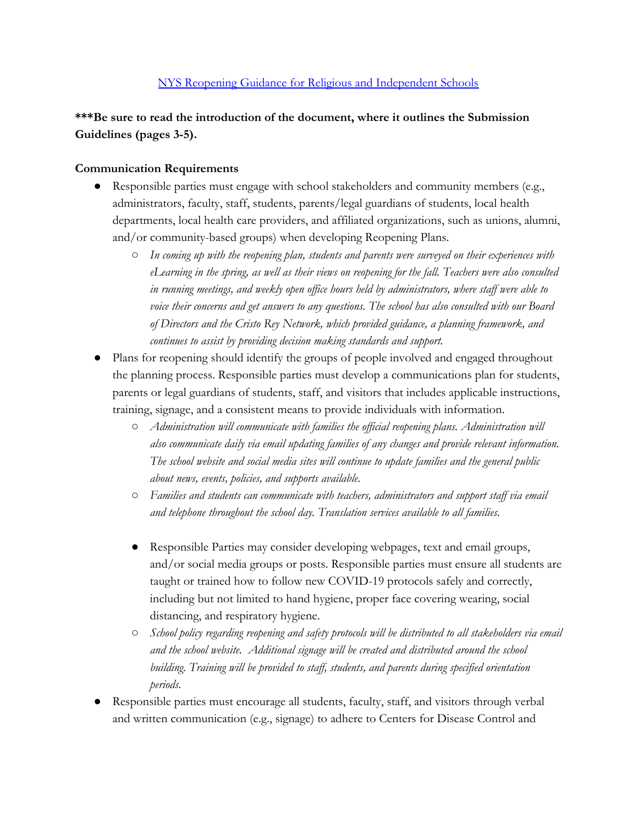# [NYS Reopening Guidance for Religious and Independent Schools](http://www.p12.nysed.gov/nonpub/documents/reopening-guidance-religious-and-independent-schools.pdf)

**\*\*\*Be sure to read the introduction of the document, where it outlines the Submission Guidelines (pages 3-5).**

## **Communication Requirements**

- Responsible parties must engage with school stakeholders and community members (e.g., administrators, faculty, staff, students, parents/legal guardians of students, local health departments, local health care providers, and affiliated organizations, such as unions, alumni, and/or community-based groups) when developing Reopening Plans.
	- *○ In coming up with the reopening plan, students and parents were surveyed on their experiences with eLearning in the spring, as well as their views on reopening for the fall. Teachers were also consulted in running meetings, and weekly open office hours held by administrators, where staff were able to voice their concerns and get answers to any questions. The school has also consulted with our Board of Directors and the Cristo Rey Network, which provided guidance, a planning framework, and continues to assist by providing decision making standards and support.*
- Plans for reopening should identify the groups of people involved and engaged throughout the planning process. Responsible parties must develop a communications plan for students, parents or legal guardians of students, staff, and visitors that includes applicable instructions, training, signage, and a consistent means to provide individuals with information.
	- *○ Administration will communicate with families the official reopening plans. Administration will also communicate daily via email updating families of any changes and provide relevant information. The school website and social media sites will continue to update families and the general public about news, events, policies, and supports available.*
	- *○ Families and students can communicate with teachers, administrators and support staff via email and telephone throughout the school day. Translation services available to all families.*
	- Responsible Parties may consider developing webpages, text and email groups, and/or social media groups or posts. Responsible parties must ensure all students are taught or trained how to follow new COVID-19 protocols safely and correctly, including but not limited to hand hygiene, proper face covering wearing, social distancing, and respiratory hygiene.
	- *○ School policy regarding reopening and safety protocols will be distributed to all stakeholders via email and the school website. Additional signage will be created and distributed around the school building. Training will be provided to staff, students, and parents during specified orientation periods.*
- Responsible parties must encourage all students, faculty, staff, and visitors through verbal and written communication (e.g., signage) to adhere to Centers for Disease Control and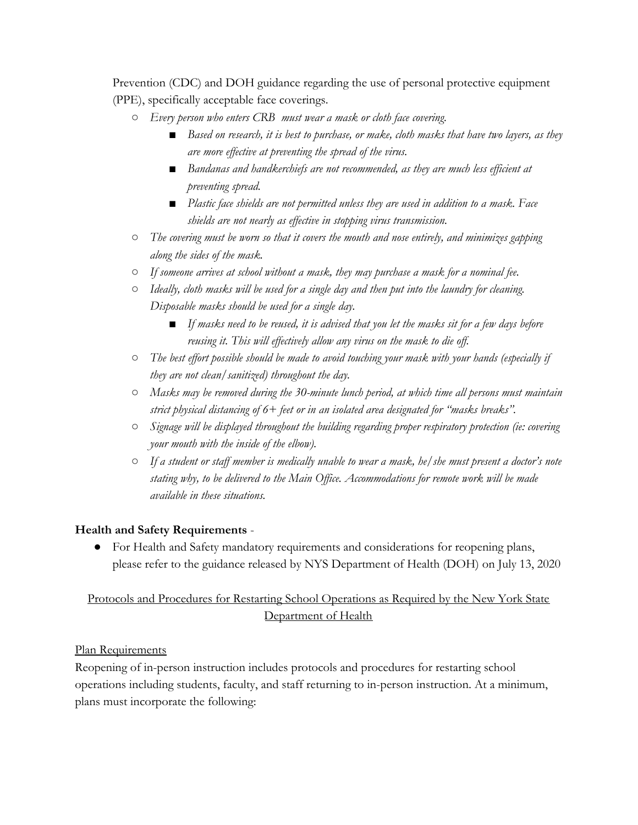Prevention (CDC) and DOH guidance regarding the use of personal protective equipment (PPE), specifically acceptable face coverings.

- *○ Every person who enters CRB must wear a mask or cloth face covering.*
	- *■ Based on research, it is best to purchase, or make, cloth masks that have two layers, as they are more effective at preventing the spread of the virus.*
	- *■ Bandanas and handkerchiefs are not recommended, as they are much less efficient at preventing spread.*
	- *■ Plastic face shields are not permitted unless they are used in addition to a mask. Face shields are not nearly as effective in stopping virus transmission.*
- *○ The covering must be worn so that it covers the mouth and nose entirely, and minimizes gapping along the sides of the mask.*
- *○ If someone arrives at school without a mask, they may purchase a mask for a nominal fee.*
- *○ Ideally, cloth masks will be used for a single day and then put into the laundry for cleaning. Disposable masks should be used for a single day.*
	- *■ If masks need to be reused, it is advised that you let the masks sit for a few days before reusing it. This will effectively allow any virus on the mask to die off.*
- *○ The best effort possible should be made to avoid touching your mask with your hands (especially if they are not clean/sanitized) throughout the day.*
- *○ Masks may be removed during the 30-minute lunch period, at which time all persons must maintain strict physical distancing of 6+ feet or in an isolated area designated for "masks breaks".*
- *○ Signage will be displayed throughout the building regarding proper respiratory protection (ie: covering your mouth with the inside of the elbow).*
- *○ If a student or staff member is medically unable to wear a mask, he/she must present a doctor's note stating why, to be delivered to the Main Office. Accommodations for remote work will be made available in these situations.*

# **Health and Safety Requirements** -

● For Health and Safety mandatory requirements and considerations for reopening plans, please refer to the guidance released by NYS Department of Health (DOH) on July 13, 2020

# Protocols and Procedures for Restarting School Operations as Required by the New York State Department of Health

# Plan Requirements

Reopening of in-person instruction includes protocols and procedures for restarting school operations including students, faculty, and staff returning to in-person instruction. At a minimum, plans must incorporate the following: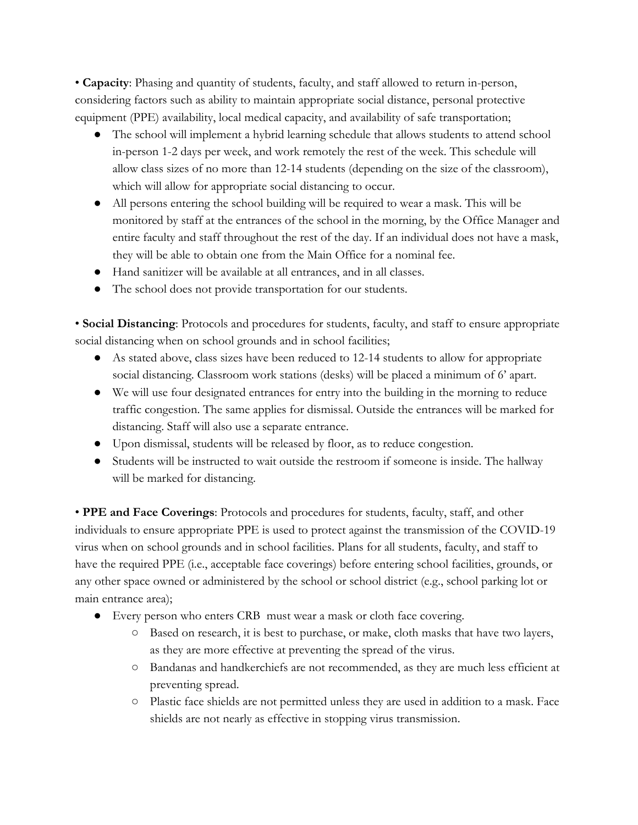• **Capacity**: Phasing and quantity of students, faculty, and staff allowed to return in-person, considering factors such as ability to maintain appropriate social distance, personal protective equipment (PPE) availability, local medical capacity, and availability of safe transportation;

- The school will implement a hybrid learning schedule that allows students to attend school in-person 1-2 days per week, and work remotely the rest of the week. This schedule will allow class sizes of no more than 12-14 students (depending on the size of the classroom), which will allow for appropriate social distancing to occur.
- All persons entering the school building will be required to wear a mask. This will be monitored by staff at the entrances of the school in the morning, by the Office Manager and entire faculty and staff throughout the rest of the day. If an individual does not have a mask, they will be able to obtain one from the Main Office for a nominal fee.
- Hand sanitizer will be available at all entrances, and in all classes.
- The school does not provide transportation for our students.

• **Social Distancing**: Protocols and procedures for students, faculty, and staff to ensure appropriate social distancing when on school grounds and in school facilities;

- As stated above, class sizes have been reduced to 12-14 students to allow for appropriate social distancing. Classroom work stations (desks) will be placed a minimum of 6' apart.
- We will use four designated entrances for entry into the building in the morning to reduce traffic congestion. The same applies for dismissal. Outside the entrances will be marked for distancing. Staff will also use a separate entrance.
- Upon dismissal, students will be released by floor, as to reduce congestion.
- Students will be instructed to wait outside the restroom if someone is inside. The hallway will be marked for distancing.

• **PPE and Face Coverings**: Protocols and procedures for students, faculty, staff, and other individuals to ensure appropriate PPE is used to protect against the transmission of the COVID-19 virus when on school grounds and in school facilities. Plans for all students, faculty, and staff to have the required PPE (i.e., acceptable face coverings) before entering school facilities, grounds, or any other space owned or administered by the school or school district (e.g., school parking lot or main entrance area);

- Every person who enters CRB must wear a mask or cloth face covering.
	- Based on research, it is best to purchase, or make, cloth masks that have two layers, as they are more effective at preventing the spread of the virus.
	- Bandanas and handkerchiefs are not recommended, as they are much less efficient at preventing spread.
	- Plastic face shields are not permitted unless they are used in addition to a mask. Face shields are not nearly as effective in stopping virus transmission.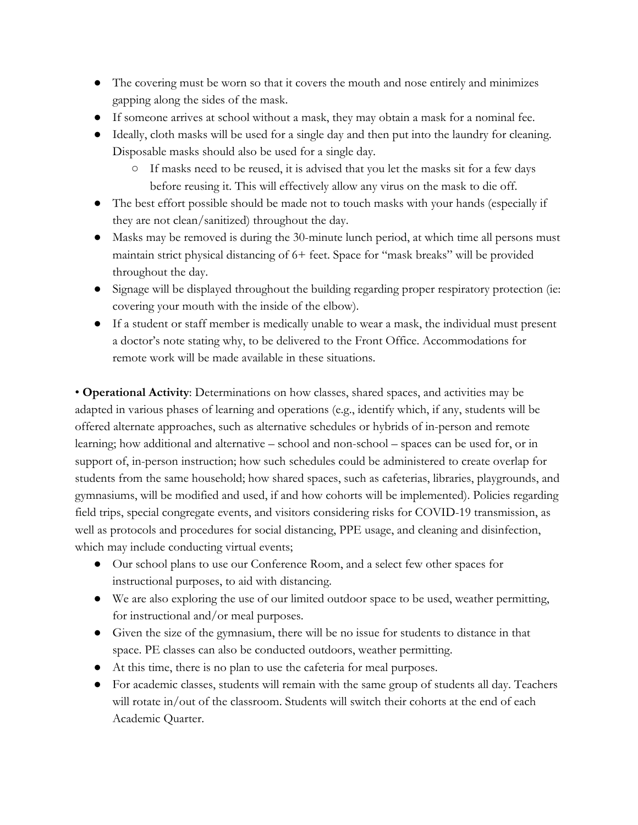- The covering must be worn so that it covers the mouth and nose entirely and minimizes gapping along the sides of the mask.
- If someone arrives at school without a mask, they may obtain a mask for a nominal fee.
- Ideally, cloth masks will be used for a single day and then put into the laundry for cleaning. Disposable masks should also be used for a single day.
	- If masks need to be reused, it is advised that you let the masks sit for a few days before reusing it. This will effectively allow any virus on the mask to die off.
- The best effort possible should be made not to touch masks with your hands (especially if they are not clean/sanitized) throughout the day.
- Masks may be removed is during the 30-minute lunch period, at which time all persons must maintain strict physical distancing of 6+ feet. Space for "mask breaks" will be provided throughout the day.
- Signage will be displayed throughout the building regarding proper respiratory protection (ie: covering your mouth with the inside of the elbow).
- If a student or staff member is medically unable to wear a mask, the individual must present a doctor's note stating why, to be delivered to the Front Office. Accommodations for remote work will be made available in these situations.

• **Operational Activity**: Determinations on how classes, shared spaces, and activities may be adapted in various phases of learning and operations (e.g., identify which, if any, students will be offered alternate approaches, such as alternative schedules or hybrids of in-person and remote learning; how additional and alternative – school and non-school – spaces can be used for, or in support of, in-person instruction; how such schedules could be administered to create overlap for students from the same household; how shared spaces, such as cafeterias, libraries, playgrounds, and gymnasiums, will be modified and used, if and how cohorts will be implemented). Policies regarding field trips, special congregate events, and visitors considering risks for COVID-19 transmission, as well as protocols and procedures for social distancing, PPE usage, and cleaning and disinfection, which may include conducting virtual events;

- Our school plans to use our Conference Room, and a select few other spaces for instructional purposes, to aid with distancing.
- We are also exploring the use of our limited outdoor space to be used, weather permitting, for instructional and/or meal purposes.
- Given the size of the gymnasium, there will be no issue for students to distance in that space. PE classes can also be conducted outdoors, weather permitting.
- At this time, there is no plan to use the cafeteria for meal purposes.
- For academic classes, students will remain with the same group of students all day. Teachers will rotate in/out of the classroom. Students will switch their cohorts at the end of each Academic Quarter.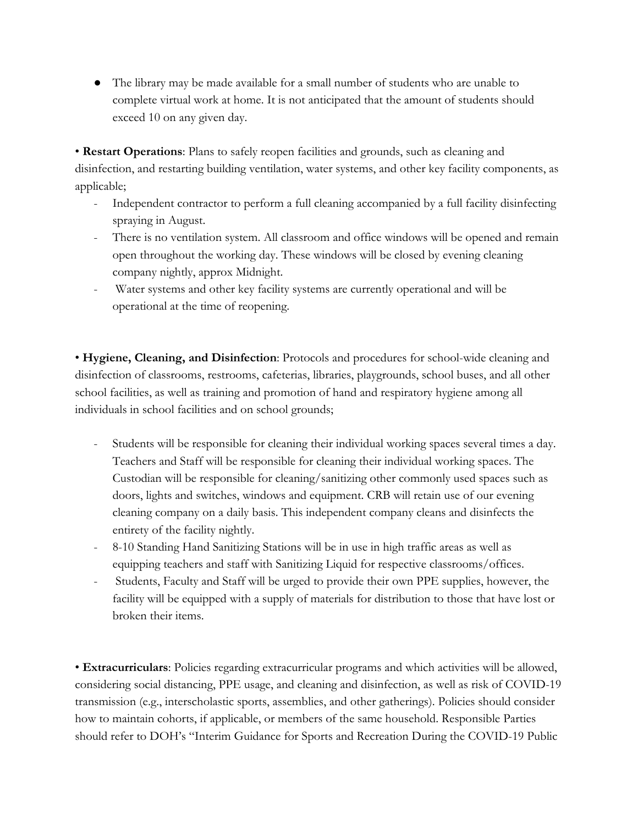● The library may be made available for a small number of students who are unable to complete virtual work at home. It is not anticipated that the amount of students should exceed 10 on any given day.

• **Restart Operations**: Plans to safely reopen facilities and grounds, such as cleaning and disinfection, and restarting building ventilation, water systems, and other key facility components, as applicable;

- Independent contractor to perform a full cleaning accompanied by a full facility disinfecting spraying in August.
- There is no ventilation system. All classroom and office windows will be opened and remain open throughout the working day. These windows will be closed by evening cleaning company nightly, approx Midnight.
- Water systems and other key facility systems are currently operational and will be operational at the time of reopening.

• **Hygiene, Cleaning, and Disinfection**: Protocols and procedures for school-wide cleaning and disinfection of classrooms, restrooms, cafeterias, libraries, playgrounds, school buses, and all other school facilities, as well as training and promotion of hand and respiratory hygiene among all individuals in school facilities and on school grounds;

- Students will be responsible for cleaning their individual working spaces several times a day. Teachers and Staff will be responsible for cleaning their individual working spaces. The Custodian will be responsible for cleaning/sanitizing other commonly used spaces such as doors, lights and switches, windows and equipment. CRB will retain use of our evening cleaning company on a daily basis. This independent company cleans and disinfects the entirety of the facility nightly.
- 8-10 Standing Hand Sanitizing Stations will be in use in high traffic areas as well as equipping teachers and staff with Sanitizing Liquid for respective classrooms/offices.
- Students, Faculty and Staff will be urged to provide their own PPE supplies, however, the facility will be equipped with a supply of materials for distribution to those that have lost or broken their items.

• **Extracurriculars**: Policies regarding extracurricular programs and which activities will be allowed, considering social distancing, PPE usage, and cleaning and disinfection, as well as risk of COVID-19 transmission (e.g., interscholastic sports, assemblies, and other gatherings). Policies should consider how to maintain cohorts, if applicable, or members of the same household. Responsible Parties should refer to DOH's "Interim Guidance for Sports and Recreation During the COVID-19 Public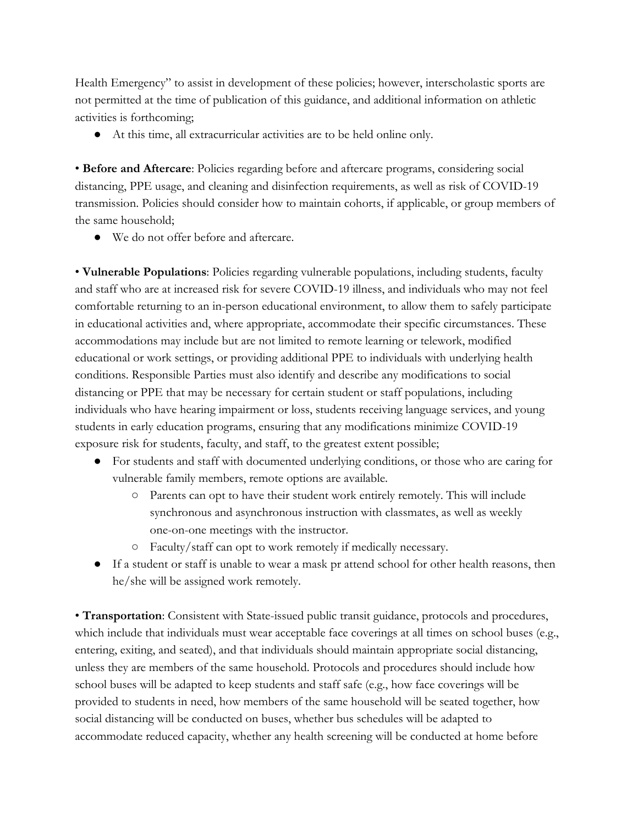Health Emergency" to assist in development of these policies; however, interscholastic sports are not permitted at the time of publication of this guidance, and additional information on athletic activities is forthcoming;

● At this time, all extracurricular activities are to be held online only.

• **Before and Aftercare**: Policies regarding before and aftercare programs, considering social distancing, PPE usage, and cleaning and disinfection requirements, as well as risk of COVID-19 transmission. Policies should consider how to maintain cohorts, if applicable, or group members of the same household;

● We do not offer before and aftercare.

• **Vulnerable Populations**: Policies regarding vulnerable populations, including students, faculty and staff who are at increased risk for severe COVID-19 illness, and individuals who may not feel comfortable returning to an in-person educational environment, to allow them to safely participate in educational activities and, where appropriate, accommodate their specific circumstances. These accommodations may include but are not limited to remote learning or telework, modified educational or work settings, or providing additional PPE to individuals with underlying health conditions. Responsible Parties must also identify and describe any modifications to social distancing or PPE that may be necessary for certain student or staff populations, including individuals who have hearing impairment or loss, students receiving language services, and young students in early education programs, ensuring that any modifications minimize COVID-19 exposure risk for students, faculty, and staff, to the greatest extent possible;

- For students and staff with documented underlying conditions, or those who are caring for vulnerable family members, remote options are available.
	- Parents can opt to have their student work entirely remotely. This will include synchronous and asynchronous instruction with classmates, as well as weekly one-on-one meetings with the instructor.
	- Faculty/staff can opt to work remotely if medically necessary.
- If a student or staff is unable to wear a mask pr attend school for other health reasons, then he/she will be assigned work remotely.

• **Transportation**: Consistent with State-issued public transit guidance, protocols and procedures, which include that individuals must wear acceptable face coverings at all times on school buses (e.g., entering, exiting, and seated), and that individuals should maintain appropriate social distancing, unless they are members of the same household. Protocols and procedures should include how school buses will be adapted to keep students and staff safe (e.g., how face coverings will be provided to students in need, how members of the same household will be seated together, how social distancing will be conducted on buses, whether bus schedules will be adapted to accommodate reduced capacity, whether any health screening will be conducted at home before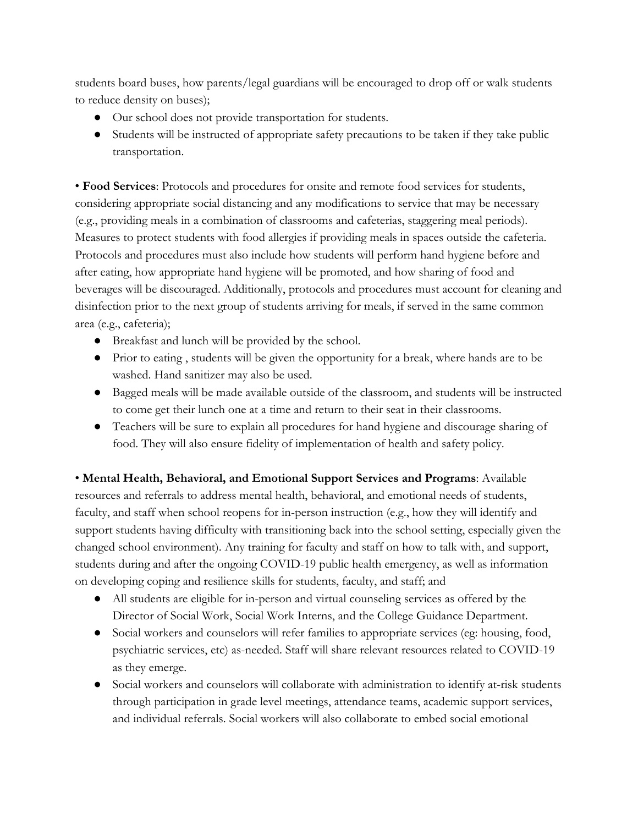students board buses, how parents/legal guardians will be encouraged to drop off or walk students to reduce density on buses);

- Our school does not provide transportation for students.
- Students will be instructed of appropriate safety precautions to be taken if they take public transportation.

• **Food Services**: Protocols and procedures for onsite and remote food services for students, considering appropriate social distancing and any modifications to service that may be necessary (e.g., providing meals in a combination of classrooms and cafeterias, staggering meal periods). Measures to protect students with food allergies if providing meals in spaces outside the cafeteria. Protocols and procedures must also include how students will perform hand hygiene before and after eating, how appropriate hand hygiene will be promoted, and how sharing of food and beverages will be discouraged. Additionally, protocols and procedures must account for cleaning and disinfection prior to the next group of students arriving for meals, if served in the same common area (e.g., cafeteria);

- Breakfast and lunch will be provided by the school.
- Prior to eating , students will be given the opportunity for a break, where hands are to be washed. Hand sanitizer may also be used.
- Bagged meals will be made available outside of the classroom, and students will be instructed to come get their lunch one at a time and return to their seat in their classrooms.
- Teachers will be sure to explain all procedures for hand hygiene and discourage sharing of food. They will also ensure fidelity of implementation of health and safety policy.

• **Mental Health, Behavioral, and Emotional Support Services and Programs**: Available resources and referrals to address mental health, behavioral, and emotional needs of students, faculty, and staff when school reopens for in-person instruction (e.g., how they will identify and support students having difficulty with transitioning back into the school setting, especially given the changed school environment). Any training for faculty and staff on how to talk with, and support, students during and after the ongoing COVID-19 public health emergency, as well as information on developing coping and resilience skills for students, faculty, and staff; and

- All students are eligible for in-person and virtual counseling services as offered by the Director of Social Work, Social Work Interns, and the College Guidance Department.
- Social workers and counselors will refer families to appropriate services (eg: housing, food, psychiatric services, etc) as-needed. Staff will share relevant resources related to COVID-19 as they emerge.
- Social workers and counselors will collaborate with administration to identify at-risk students through participation in grade level meetings, attendance teams, academic support services, and individual referrals. Social workers will also collaborate to embed social emotional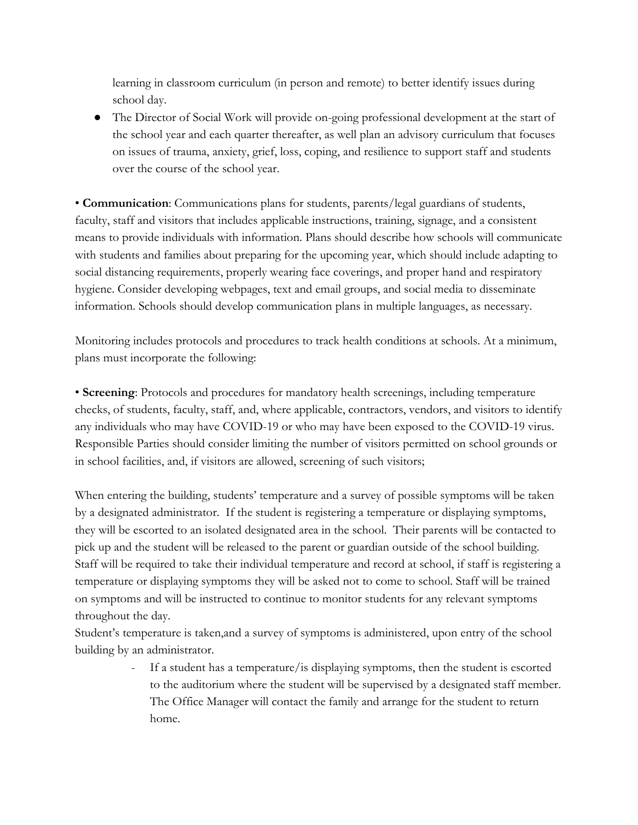learning in classroom curriculum (in person and remote) to better identify issues during school day.

● The Director of Social Work will provide on-going professional development at the start of the school year and each quarter thereafter, as well plan an advisory curriculum that focuses on issues of trauma, anxiety, grief, loss, coping, and resilience to support staff and students over the course of the school year.

• **Communication**: Communications plans for students, parents/legal guardians of students, faculty, staff and visitors that includes applicable instructions, training, signage, and a consistent means to provide individuals with information. Plans should describe how schools will communicate with students and families about preparing for the upcoming year, which should include adapting to social distancing requirements, properly wearing face coverings, and proper hand and respiratory hygiene. Consider developing webpages, text and email groups, and social media to disseminate information. Schools should develop communication plans in multiple languages, as necessary.

Monitoring includes protocols and procedures to track health conditions at schools. At a minimum, plans must incorporate the following:

• **Screening**: Protocols and procedures for mandatory health screenings, including temperature checks, of students, faculty, staff, and, where applicable, contractors, vendors, and visitors to identify any individuals who may have COVID-19 or who may have been exposed to the COVID-19 virus. Responsible Parties should consider limiting the number of visitors permitted on school grounds or in school facilities, and, if visitors are allowed, screening of such visitors;

When entering the building, students' temperature and a survey of possible symptoms will be taken by a designated administrator. If the student is registering a temperature or displaying symptoms, they will be escorted to an isolated designated area in the school. Their parents will be contacted to pick up and the student will be released to the parent or guardian outside of the school building. Staff will be required to take their individual temperature and record at school, if staff is registering a temperature or displaying symptoms they will be asked not to come to school. Staff will be trained on symptoms and will be instructed to continue to monitor students for any relevant symptoms throughout the day.

Student's temperature is taken,and a survey of symptoms is administered, upon entry of the school building by an administrator.

> - If a student has a temperature/is displaying symptoms, then the student is escorted to the auditorium where the student will be supervised by a designated staff member. The Office Manager will contact the family and arrange for the student to return home.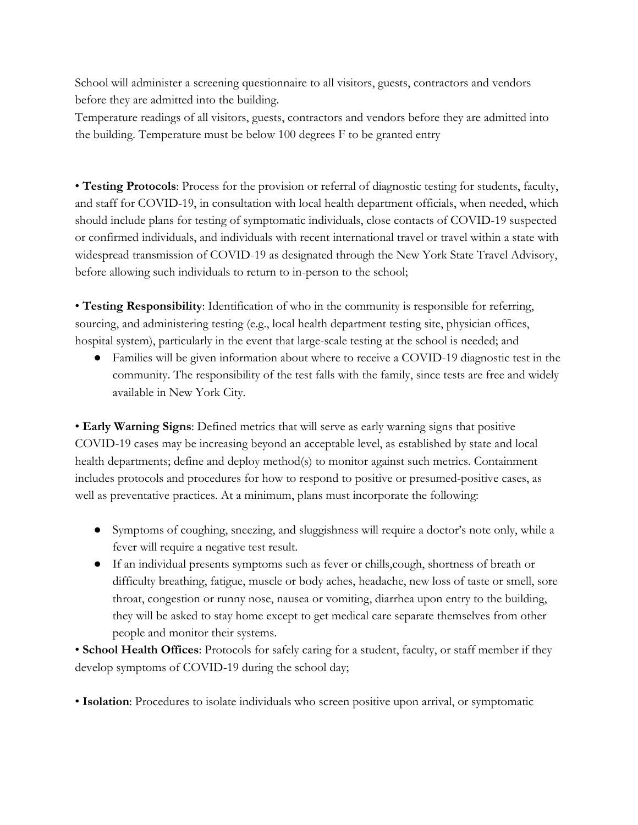School will administer a screening questionnaire to all visitors, guests, contractors and vendors before they are admitted into the building.

Temperature readings of all visitors, guests, contractors and vendors before they are admitted into the building. Temperature must be below 100 degrees F to be granted entry

• **Testing Protocols**: Process for the provision or referral of diagnostic testing for students, faculty, and staff for COVID-19, in consultation with local health department officials, when needed, which should include plans for testing of symptomatic individuals, close contacts of COVID-19 suspected or confirmed individuals, and individuals with recent international travel or travel within a state with widespread transmission of COVID-19 as designated through the New York State Travel Advisory, before allowing such individuals to return to in-person to the school;

• **Testing Responsibility**: Identification of who in the community is responsible for referring, sourcing, and administering testing (e.g., local health department testing site, physician offices, hospital system), particularly in the event that large-scale testing at the school is needed; and

● Families will be given information about where to receive a COVID-19 diagnostic test in the community. The responsibility of the test falls with the family, since tests are free and widely available in New York City.

• **Early Warning Signs**: Defined metrics that will serve as early warning signs that positive COVID-19 cases may be increasing beyond an acceptable level, as established by state and local health departments; define and deploy method(s) to monitor against such metrics. Containment includes protocols and procedures for how to respond to positive or presumed-positive cases, as well as preventative practices. At a minimum, plans must incorporate the following:

- Symptoms of coughing, sneezing, and sluggishness will require a doctor's note only, while a fever will require a negative test result.
- If an individual presents symptoms such as fever or chills,cough, shortness of breath or difficulty breathing, fatigue, muscle or body aches, headache, new loss of taste or smell, sore throat, congestion or runny nose, nausea or vomiting, diarrhea upon entry to the building, they will be asked to stay home except to get medical care separate themselves from other people and monitor their systems.

• **School Health Offices**: Protocols for safely caring for a student, faculty, or staff member if they develop symptoms of COVID-19 during the school day;

• **Isolation**: Procedures to isolate individuals who screen positive upon arrival, or symptomatic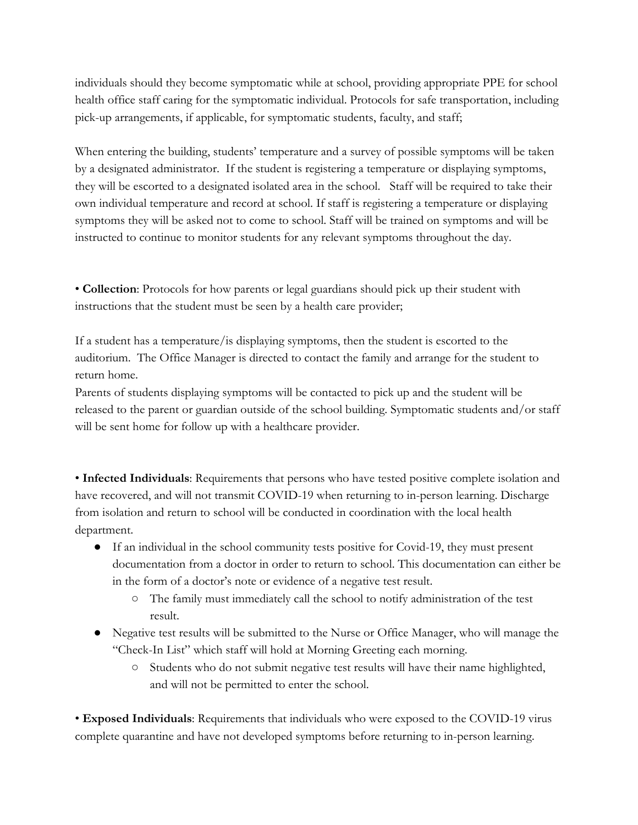individuals should they become symptomatic while at school, providing appropriate PPE for school health office staff caring for the symptomatic individual. Protocols for safe transportation, including pick-up arrangements, if applicable, for symptomatic students, faculty, and staff;

When entering the building, students' temperature and a survey of possible symptoms will be taken by a designated administrator. If the student is registering a temperature or displaying symptoms, they will be escorted to a designated isolated area in the school. Staff will be required to take their own individual temperature and record at school. If staff is registering a temperature or displaying symptoms they will be asked not to come to school. Staff will be trained on symptoms and will be instructed to continue to monitor students for any relevant symptoms throughout the day.

• **Collection**: Protocols for how parents or legal guardians should pick up their student with instructions that the student must be seen by a health care provider;

If a student has a temperature/is displaying symptoms, then the student is escorted to the auditorium. The Office Manager is directed to contact the family and arrange for the student to return home.

Parents of students displaying symptoms will be contacted to pick up and the student will be released to the parent or guardian outside of the school building. Symptomatic students and/or staff will be sent home for follow up with a healthcare provider.

• **Infected Individuals**: Requirements that persons who have tested positive complete isolation and have recovered, and will not transmit COVID-19 when returning to in-person learning. Discharge from isolation and return to school will be conducted in coordination with the local health department.

- If an individual in the school community tests positive for Covid-19, they must present documentation from a doctor in order to return to school. This documentation can either be in the form of a doctor's note or evidence of a negative test result.
	- The family must immediately call the school to notify administration of the test result.
- Negative test results will be submitted to the Nurse or Office Manager, who will manage the "Check-In List" which staff will hold at Morning Greeting each morning.
	- Students who do not submit negative test results will have their name highlighted, and will not be permitted to enter the school.

• **Exposed Individuals**: Requirements that individuals who were exposed to the COVID-19 virus complete quarantine and have not developed symptoms before returning to in-person learning.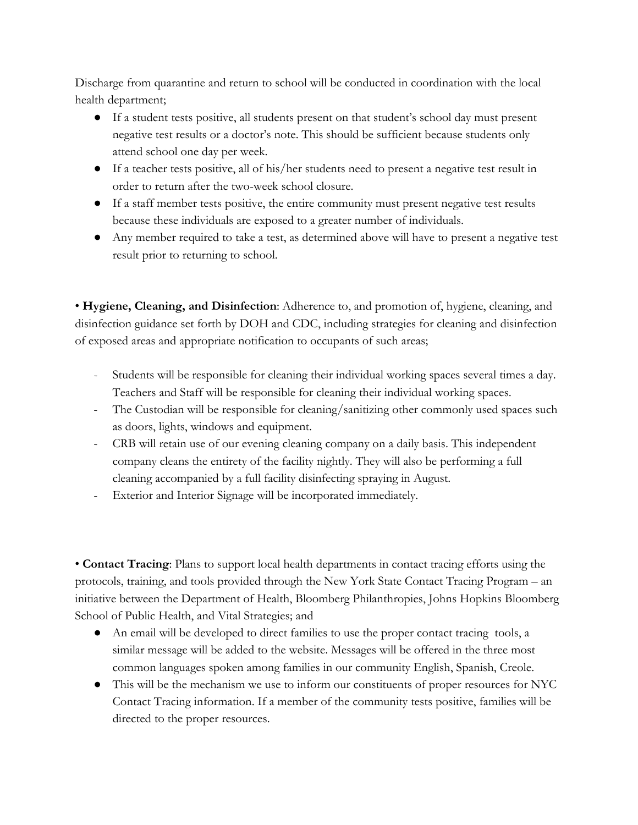Discharge from quarantine and return to school will be conducted in coordination with the local health department;

- If a student tests positive, all students present on that student's school day must present negative test results or a doctor's note. This should be sufficient because students only attend school one day per week.
- If a teacher tests positive, all of his/her students need to present a negative test result in order to return after the two-week school closure.
- If a staff member tests positive, the entire community must present negative test results because these individuals are exposed to a greater number of individuals.
- Any member required to take a test, as determined above will have to present a negative test result prior to returning to school.

• **Hygiene, Cleaning, and Disinfection**: Adherence to, and promotion of, hygiene, cleaning, and disinfection guidance set forth by DOH and CDC, including strategies for cleaning and disinfection of exposed areas and appropriate notification to occupants of such areas;

- Students will be responsible for cleaning their individual working spaces several times a day. Teachers and Staff will be responsible for cleaning their individual working spaces.
- The Custodian will be responsible for cleaning/sanitizing other commonly used spaces such as doors, lights, windows and equipment.
- CRB will retain use of our evening cleaning company on a daily basis. This independent company cleans the entirety of the facility nightly. They will also be performing a full cleaning accompanied by a full facility disinfecting spraying in August.
- Exterior and Interior Signage will be incorporated immediately.

• **Contact Tracing**: Plans to support local health departments in contact tracing efforts using the protocols, training, and tools provided through the New York State Contact Tracing Program – an initiative between the Department of Health, Bloomberg Philanthropies, Johns Hopkins Bloomberg School of Public Health, and Vital Strategies; and

- An email will be developed to direct families to use the proper contact tracing tools, a similar message will be added to the website. Messages will be offered in the three most common languages spoken among families in our community English, Spanish, Creole.
- This will be the mechanism we use to inform our constituents of proper resources for NYC Contact Tracing information. If a member of the community tests positive, families will be directed to the proper resources.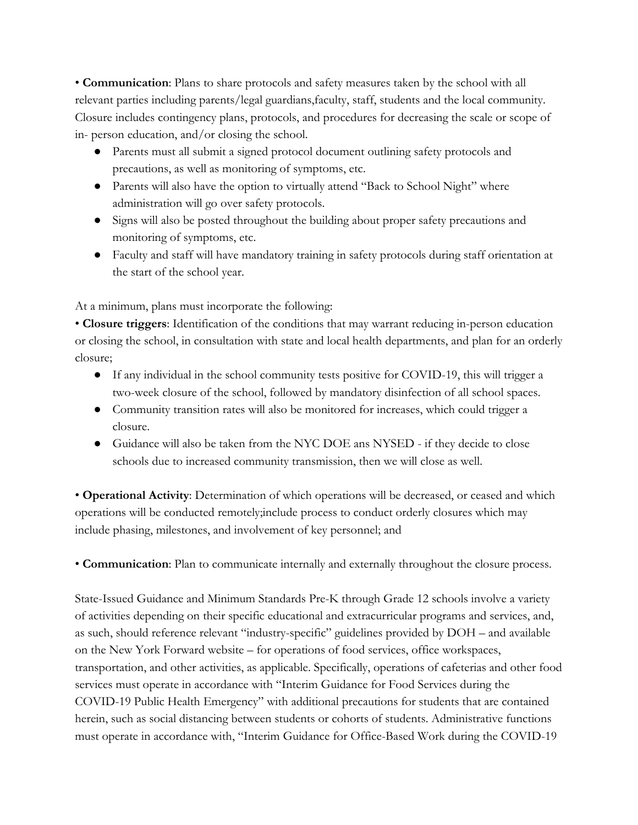• **Communication**: Plans to share protocols and safety measures taken by the school with all relevant parties including parents/legal guardians,faculty, staff, students and the local community. Closure includes contingency plans, protocols, and procedures for decreasing the scale or scope of in- person education, and/or closing the school.

- Parents must all submit a signed protocol document outlining safety protocols and precautions, as well as monitoring of symptoms, etc.
- Parents will also have the option to virtually attend "Back to School Night" where administration will go over safety protocols.
- Signs will also be posted throughout the building about proper safety precautions and monitoring of symptoms, etc.
- Faculty and staff will have mandatory training in safety protocols during staff orientation at the start of the school year.

At a minimum, plans must incorporate the following:

• **Closure triggers**: Identification of the conditions that may warrant reducing in-person education or closing the school, in consultation with state and local health departments, and plan for an orderly closure;

- If any individual in the school community tests positive for COVID-19, this will trigger a two-week closure of the school, followed by mandatory disinfection of all school spaces.
- Community transition rates will also be monitored for increases, which could trigger a closure.
- Guidance will also be taken from the NYC DOE ans NYSED if they decide to close schools due to increased community transmission, then we will close as well.

• **Operational Activity**: Determination of which operations will be decreased, or ceased and which operations will be conducted remotely;include process to conduct orderly closures which may include phasing, milestones, and involvement of key personnel; and

• **Communication**: Plan to communicate internally and externally throughout the closure process.

State-Issued Guidance and Minimum Standards Pre-K through Grade 12 schools involve a variety of activities depending on their specific educational and extracurricular programs and services, and, as such, should reference relevant "industry-specific" guidelines provided by DOH – and available on the New York Forward website – for operations of food services, office workspaces, transportation, and other activities, as applicable. Specifically, operations of cafeterias and other food services must operate in accordance with "Interim Guidance for Food Services during the COVID-19 Public Health Emergency" with additional precautions for students that are contained herein, such as social distancing between students or cohorts of students. Administrative functions must operate in accordance with, "Interim Guidance for Office-Based Work during the COVID-19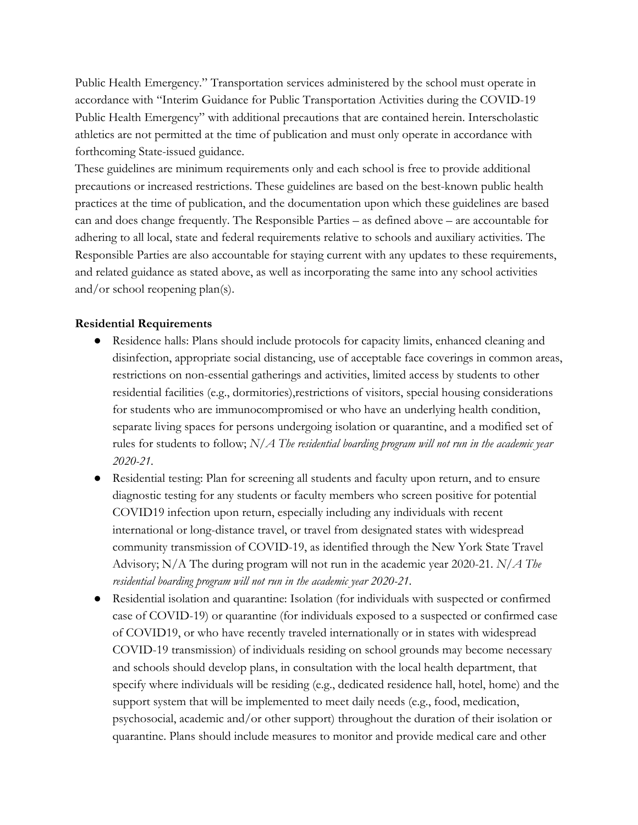Public Health Emergency." Transportation services administered by the school must operate in accordance with "Interim Guidance for Public Transportation Activities during the COVID-19 Public Health Emergency" with additional precautions that are contained herein. Interscholastic athletics are not permitted at the time of publication and must only operate in accordance with forthcoming State-issued guidance.

These guidelines are minimum requirements only and each school is free to provide additional precautions or increased restrictions. These guidelines are based on the best-known public health practices at the time of publication, and the documentation upon which these guidelines are based can and does change frequently. The Responsible Parties – as defined above – are accountable for adhering to all local, state and federal requirements relative to schools and auxiliary activities. The Responsible Parties are also accountable for staying current with any updates to these requirements, and related guidance as stated above, as well as incorporating the same into any school activities and/or school reopening plan(s).

### **Residential Requirements**

- Residence halls: Plans should include protocols for capacity limits, enhanced cleaning and disinfection, appropriate social distancing, use of acceptable face coverings in common areas, restrictions on non-essential gatherings and activities, limited access by students to other residential facilities (e.g., dormitories),restrictions of visitors, special housing considerations for students who are immunocompromised or who have an underlying health condition, separate living spaces for persons undergoing isolation or quarantine, and a modified set of rules for students to follow; *N/A The residential boarding program will not run in the academic year 2020-21.*
- Residential testing: Plan for screening all students and faculty upon return, and to ensure diagnostic testing for any students or faculty members who screen positive for potential COVID19 infection upon return, especially including any individuals with recent international or long-distance travel, or travel from designated states with widespread community transmission of COVID-19, as identified through the New York State Travel Advisory; N/A The during program will not run in the academic year 2020-21. *N/A The residential boarding program will not run in the academic year 2020-21.*
- Residential isolation and quarantine: Isolation (for individuals with suspected or confirmed case of COVID-19) or quarantine (for individuals exposed to a suspected or confirmed case of COVID19, or who have recently traveled internationally or in states with widespread COVID-19 transmission) of individuals residing on school grounds may become necessary and schools should develop plans, in consultation with the local health department, that specify where individuals will be residing (e.g., dedicated residence hall, hotel, home) and the support system that will be implemented to meet daily needs (e.g., food, medication, psychosocial, academic and/or other support) throughout the duration of their isolation or quarantine. Plans should include measures to monitor and provide medical care and other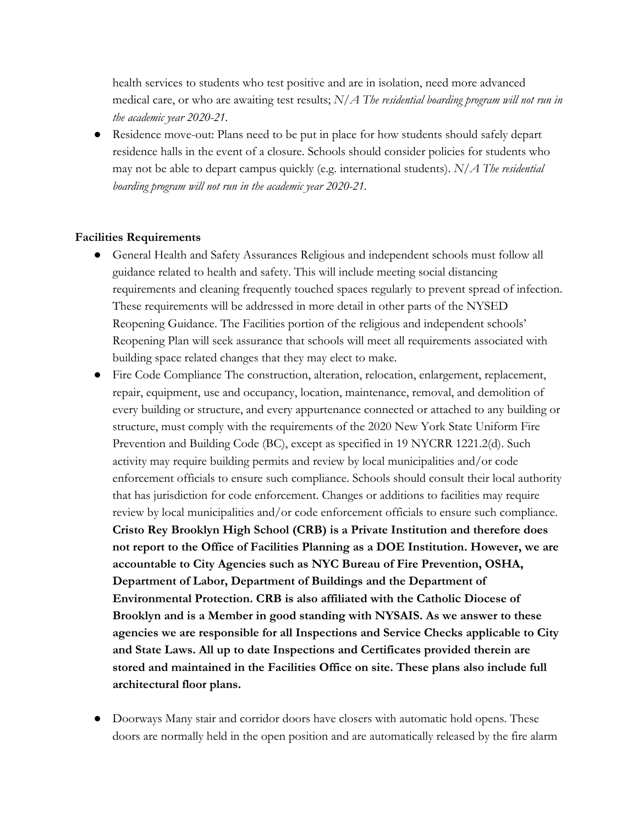health services to students who test positive and are in isolation, need more advanced medical care, or who are awaiting test results; *N/A The residential boarding program will not run in the academic year 2020-21.*

● Residence move-out: Plans need to be put in place for how students should safely depart residence halls in the event of a closure. Schools should consider policies for students who may not be able to depart campus quickly (e.g. international students). *N/A The residential boarding program will not run in the academic year 2020-21.*

#### **Facilities Requirements**

- General Health and Safety Assurances Religious and independent schools must follow all guidance related to health and safety. This will include meeting social distancing requirements and cleaning frequently touched spaces regularly to prevent spread of infection. These requirements will be addressed in more detail in other parts of the NYSED Reopening Guidance. The Facilities portion of the religious and independent schools' Reopening Plan will seek assurance that schools will meet all requirements associated with building space related changes that they may elect to make.
- Fire Code Compliance The construction, alteration, relocation, enlargement, replacement, repair, equipment, use and occupancy, location, maintenance, removal, and demolition of every building or structure, and every appurtenance connected or attached to any building or structure, must comply with the requirements of the 2020 New York State Uniform Fire Prevention and Building Code (BC), except as specified in 19 NYCRR 1221.2(d). Such activity may require building permits and review by local municipalities and/or code enforcement officials to ensure such compliance. Schools should consult their local authority that has jurisdiction for code enforcement. Changes or additions to facilities may require review by local municipalities and/or code enforcement officials to ensure such compliance. **Cristo Rey Brooklyn High School (CRB) is a Private Institution and therefore does not report to the Office of Facilities Planning as a DOE Institution. However, we are accountable to City Agencies such as NYC Bureau of Fire Prevention, OSHA, Department of Labor, Department of Buildings and the Department of Environmental Protection. CRB is also affiliated with the Catholic Diocese of Brooklyn and is a Member in good standing with NYSAIS. As we answer to these agencies we are responsible for all Inspections and Service Checks applicable to City and State Laws. All up to date Inspections and Certificates provided therein are stored and maintained in the Facilities Office on site. These plans also include full architectural floor plans.**
- Doorways Many stair and corridor doors have closers with automatic hold opens. These doors are normally held in the open position and are automatically released by the fire alarm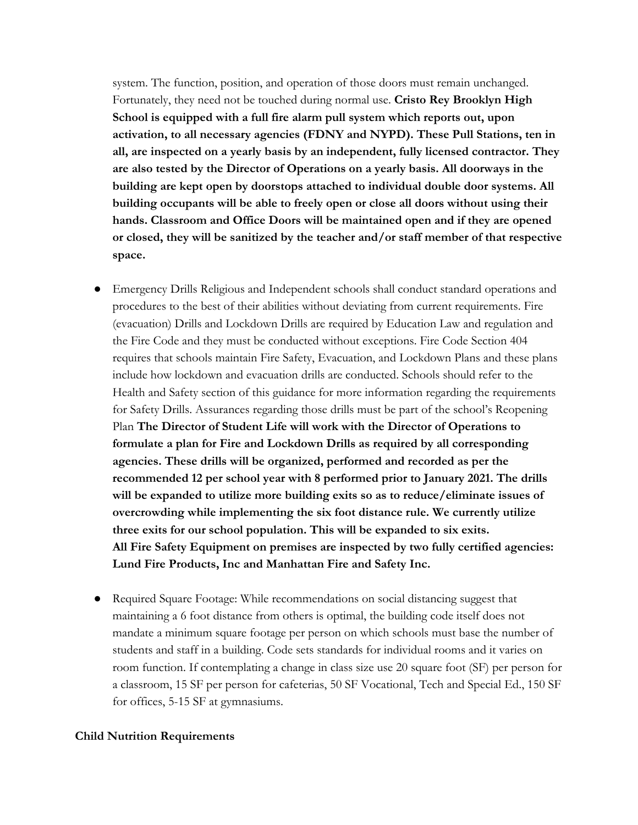system. The function, position, and operation of those doors must remain unchanged. Fortunately, they need not be touched during normal use. **Cristo Rey Brooklyn High School is equipped with a full fire alarm pull system which reports out, upon activation, to all necessary agencies (FDNY and NYPD). These Pull Stations, ten in all, are inspected on a yearly basis by an independent, fully licensed contractor. They are also tested by the Director of Operations on a yearly basis. All doorways in the building are kept open by doorstops attached to individual double door systems. All building occupants will be able to freely open or close all doors without using their hands. Classroom and Office Doors will be maintained open and if they are opened or closed, they will be sanitized by the teacher and/or staff member of that respective space.**

- Emergency Drills Religious and Independent schools shall conduct standard operations and procedures to the best of their abilities without deviating from current requirements. Fire (evacuation) Drills and Lockdown Drills are required by Education Law and regulation and the Fire Code and they must be conducted without exceptions. Fire Code Section 404 requires that schools maintain Fire Safety, Evacuation, and Lockdown Plans and these plans include how lockdown and evacuation drills are conducted. Schools should refer to the Health and Safety section of this guidance for more information regarding the requirements for Safety Drills. Assurances regarding those drills must be part of the school's Reopening Plan **The Director of Student Life will work with the Director of Operations to formulate a plan for Fire and Lockdown Drills as required by all corresponding agencies. These drills will be organized, performed and recorded as per the recommended 12 per school year with 8 performed prior to January 2021. The drills will be expanded to utilize more building exits so as to reduce/eliminate issues of overcrowding while implementing the six foot distance rule. We currently utilize three exits for our school population. This will be expanded to six exits. All Fire Safety Equipment on premises are inspected by two fully certified agencies: Lund Fire Products, Inc and Manhattan Fire and Safety Inc.**
- Required Square Footage: While recommendations on social distancing suggest that maintaining a 6 foot distance from others is optimal, the building code itself does not mandate a minimum square footage per person on which schools must base the number of students and staff in a building. Code sets standards for individual rooms and it varies on room function. If contemplating a change in class size use 20 square foot (SF) per person for a classroom, 15 SF per person for cafeterias, 50 SF Vocational, Tech and Special Ed., 150 SF for offices, 5-15 SF at gymnasiums.

#### **Child Nutrition Requirements**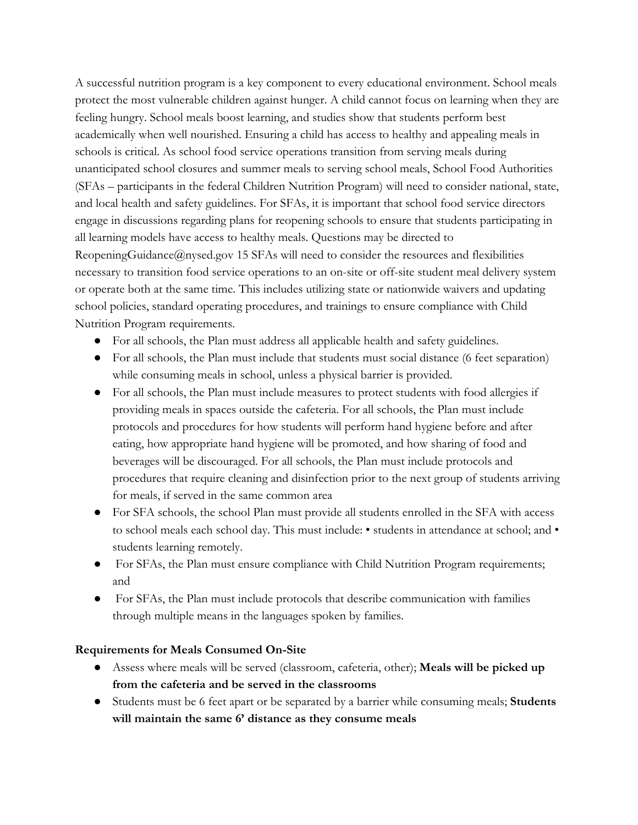A successful nutrition program is a key component to every educational environment. School meals protect the most vulnerable children against hunger. A child cannot focus on learning when they are feeling hungry. School meals boost learning, and studies show that students perform best academically when well nourished. Ensuring a child has access to healthy and appealing meals in schools is critical. As school food service operations transition from serving meals during unanticipated school closures and summer meals to serving school meals, School Food Authorities (SFAs – participants in the federal Children Nutrition Program) will need to consider national, state, and local health and safety guidelines. For SFAs, it is important that school food service directors engage in discussions regarding plans for reopening schools to ensure that students participating in all learning models have access to healthy meals. Questions may be directed to ReopeningGuidance@nysed.gov 15 SFAs will need to consider the resources and flexibilities necessary to transition food service operations to an on-site or off-site student meal delivery system or operate both at the same time. This includes utilizing state or nationwide waivers and updating school policies, standard operating procedures, and trainings to ensure compliance with Child Nutrition Program requirements.

- For all schools, the Plan must address all applicable health and safety guidelines.
- For all schools, the Plan must include that students must social distance (6 feet separation) while consuming meals in school, unless a physical barrier is provided.
- For all schools, the Plan must include measures to protect students with food allergies if providing meals in spaces outside the cafeteria. For all schools, the Plan must include protocols and procedures for how students will perform hand hygiene before and after eating, how appropriate hand hygiene will be promoted, and how sharing of food and beverages will be discouraged. For all schools, the Plan must include protocols and procedures that require cleaning and disinfection prior to the next group of students arriving for meals, if served in the same common area
- For SFA schools, the school Plan must provide all students enrolled in the SFA with access to school meals each school day. This must include: • students in attendance at school; and • students learning remotely.
- For SFAs, the Plan must ensure compliance with Child Nutrition Program requirements; and
- For SFAs, the Plan must include protocols that describe communication with families through multiple means in the languages spoken by families.

# **Requirements for Meals Consumed On-Site**

- Assess where meals will be served (classroom, cafeteria, other); **Meals will be picked up from the cafeteria and be served in the classrooms**
- Students must be 6 feet apart or be separated by a barrier while consuming meals; **Students will maintain the same 6' distance as they consume meals**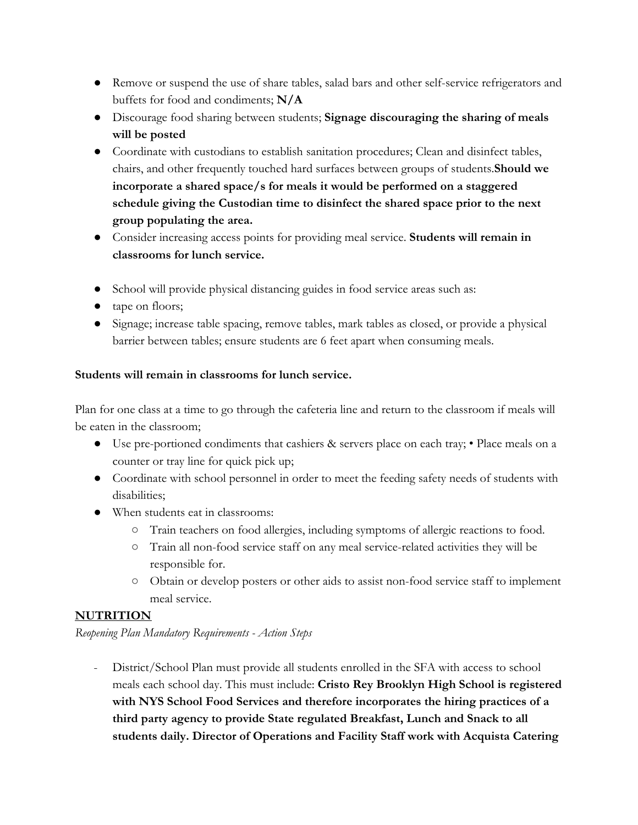- Remove or suspend the use of share tables, salad bars and other self-service refrigerators and buffets for food and condiments; **N/A**
- Discourage food sharing between students; **Signage discouraging the sharing of meals will be posted**
- Coordinate with custodians to establish sanitation procedures; Clean and disinfect tables, chairs, and other frequently touched hard surfaces between groups of students.**Should we incorporate a shared space/s for meals it would be performed on a staggered schedule giving the Custodian time to disinfect the shared space prior to the next group populating the area.**
- Consider increasing access points for providing meal service. **Students will remain in classrooms for lunch service.**
- School will provide physical distancing guides in food service areas such as:
- tape on floors;
- Signage; increase table spacing, remove tables, mark tables as closed, or provide a physical barrier between tables; ensure students are 6 feet apart when consuming meals.

# **Students will remain in classrooms for lunch service.**

Plan for one class at a time to go through the cafeteria line and return to the classroom if meals will be eaten in the classroom;

- Use pre-portioned condiments that cashiers & servers place on each tray; Place meals on a counter or tray line for quick pick up;
- Coordinate with school personnel in order to meet the feeding safety needs of students with disabilities;
- When students eat in classrooms:
	- Train teachers on food allergies, including symptoms of allergic reactions to food.
	- Train all non-food service staff on any meal service-related activities they will be responsible for.
	- Obtain or develop posters or other aids to assist non-food service staff to implement meal service.

# **NUTRITION**

*Reopening Plan Mandatory Requirements - Action Steps*

- District/School Plan must provide all students enrolled in the SFA with access to school meals each school day. This must include: **Cristo Rey Brooklyn High School is registered with NYS School Food Services and therefore incorporates the hiring practices of a third party agency to provide State regulated Breakfast, Lunch and Snack to all students daily. Director of Operations and Facility Staff work with Acquista Catering**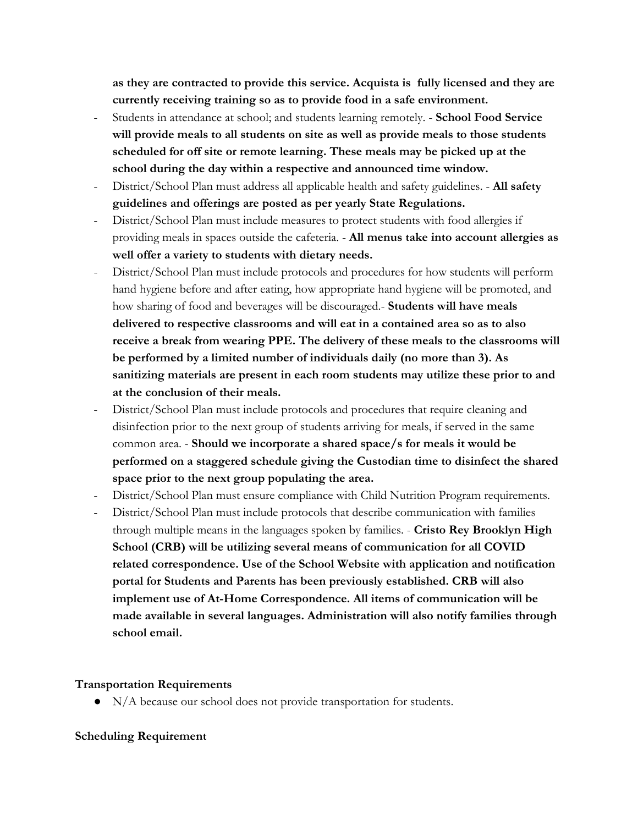**as they are contracted to provide this service. Acquista is fully licensed and they are currently receiving training so as to provide food in a safe environment.**

- Students in attendance at school; and students learning remotely. **School Food Service will provide meals to all students on site as well as provide meals to those students scheduled for off site or remote learning. These meals may be picked up at the school during the day within a respective and announced time window.**
- District/School Plan must address all applicable health and safety guidelines. **All safety guidelines and offerings are posted as per yearly State Regulations.**
- District/School Plan must include measures to protect students with food allergies if providing meals in spaces outside the cafeteria. - **All menus take into account allergies as well offer a variety to students with dietary needs.**
- District/School Plan must include protocols and procedures for how students will perform hand hygiene before and after eating, how appropriate hand hygiene will be promoted, and how sharing of food and beverages will be discouraged.- **Students will have meals delivered to respective classrooms and will eat in a contained area so as to also receive a break from wearing PPE. The delivery of these meals to the classrooms will be performed by a limited number of individuals daily (no more than 3). As sanitizing materials are present in each room students may utilize these prior to and at the conclusion of their meals.**
- District/School Plan must include protocols and procedures that require cleaning and disinfection prior to the next group of students arriving for meals, if served in the same common area. - **Should we incorporate a shared space/s for meals it would be performed on a staggered schedule giving the Custodian time to disinfect the shared space prior to the next group populating the area.**
- District/School Plan must ensure compliance with Child Nutrition Program requirements.
- District/School Plan must include protocols that describe communication with families through multiple means in the languages spoken by families. - **Cristo Rey Brooklyn High School (CRB) will be utilizing several means of communication for all COVID related correspondence. Use of the School Website with application and notification portal for Students and Parents has been previously established. CRB will also implement use of At-Home Correspondence. All items of communication will be made available in several languages. Administration will also notify families through school email.**

### **Transportation Requirements**

● N/A because our school does not provide transportation for students.

### **Scheduling Requirement**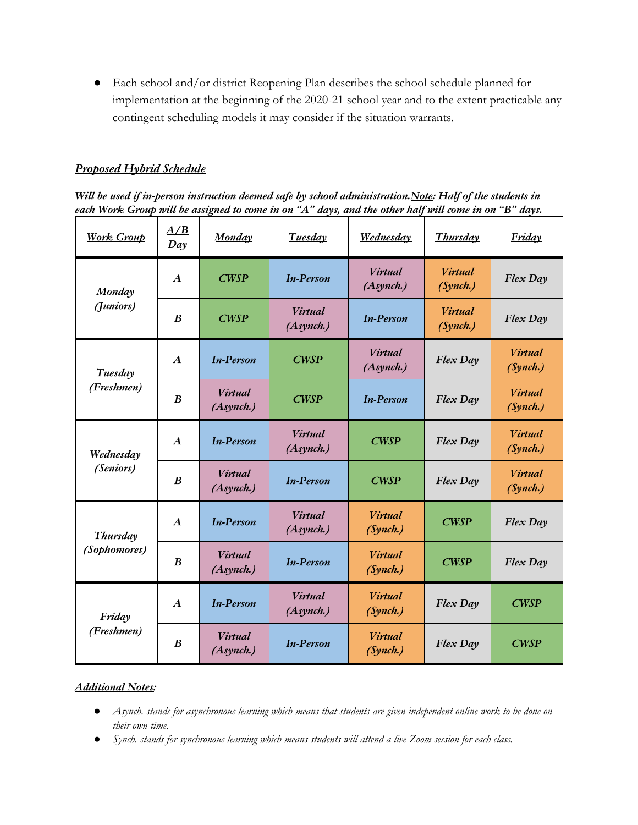● Each school and/or district Reopening Plan describes the school schedule planned for implementation at the beginning of the 2020-21 school year and to the extent practicable any contingent scheduling models it may consider if the situation warrants.

### *Proposed Hybrid Schedule*

*Will be used if in-person instruction deemed safe by school administration.Note: Half of the students in* each Work Group will be assigned to come in on "A" days, and the other half will come in on "B" days.

| <b>Work Group</b>             | A/B<br>Day       | <b>Monday</b>                            | <b>Tuesday</b>                           | <b>Wednesday</b>                         | <b>Thursday</b>            | <b>Friday</b>              |
|-------------------------------|------------------|------------------------------------------|------------------------------------------|------------------------------------------|----------------------------|----------------------------|
| Monday<br>(Juniors)           | $\boldsymbol{A}$ | <b>CWSP</b>                              | <b>In-Person</b>                         | <b>Virtual</b><br>(A <sub>synch.</sub> ) | <b>Virtual</b><br>(Synch.) | Flex Day                   |
|                               | B                | <b>CWSP</b>                              | <b>Virtual</b><br>(A <sub>synch.</sub> ) | <b>In-Person</b>                         | <b>Virtual</b><br>(Synch.) | Flex Day                   |
| Tuesday<br>(Freshmen)         | $\boldsymbol{A}$ | <b>In-Person</b>                         | <b>CWSP</b>                              | <b>Virtual</b><br>(A <sub>synch.</sub> ) | Flex Day                   | <b>Virtual</b><br>(Synch.) |
|                               | B                | <b>Virtual</b><br>(A <sub>synch.</sub> ) | <b>CWSP</b>                              | <b>In-Person</b>                         | Flex Day                   | <b>Virtual</b><br>(Synch.) |
| Wednesday<br><i>(Seniors)</i> | $\boldsymbol{A}$ | <b>In-Person</b>                         | <b>Virtual</b><br>(A <sub>synch.</sub> ) | <b>CWSP</b>                              | Flex Day                   | <b>Virtual</b><br>(Synch.) |
|                               | B                | <b>Virtual</b><br>(A <sub>synch.</sub> ) | <b>In-Person</b>                         | <b>CWSP</b>                              | Flex Day                   | <b>Virtual</b><br>(Synch.) |
| Thursday<br>(Sophomores)      | $\boldsymbol{A}$ | <b>In-Person</b>                         | <b>Virtual</b><br>(A <sub>synch.</sub> ) | <b>Virtual</b><br>(Synch.)               | CWSP                       | Flex Day                   |
|                               | B                | <b>Virtual</b><br>(A <sub>synch.</sub> ) | <b>In-Person</b>                         | <b>Virtual</b><br>(Synch.)               | <b>CWSP</b>                | Flex Day                   |
| Friday<br>(Freshmen)          | $\boldsymbol{A}$ | <b>In-Person</b>                         | <b>Virtual</b><br>(A <sub>synch.</sub> ) | <b>Virtual</b><br>(Synch.)               | Flex Day                   | CWSP                       |
|                               | B                | <b>Virtual</b><br>(A <sub>synch.</sub> ) | <b>In-Person</b>                         | <b>Virtual</b><br>(Synch.)               | Flex Day                   | <b>CWSP</b>                |

### *Additional Notes:*

- Asynch, stands for asynchronous learning which means that students are given independent online work to be done on *their own time.*
- Synch. stands for synchronous learning which means students will attend a live Zoom session for each class.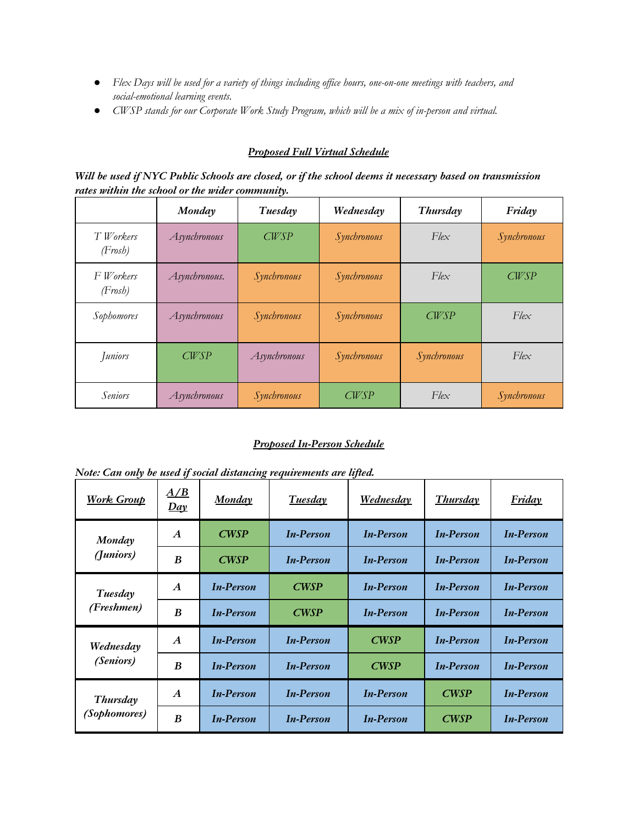- Flex Days will be used for a variety of things including office hours, one-on-one meetings with teachers, and *social-emotional learning events.*
- *● CWSP stands for our Corporate Work Study Program, which will be a mix of in-person and virtual.*

### *Proposed Full Virtual Schedule*

Will be used if NYC Public Schools are closed, or if the school deems it necessary based on transmission *rates within the school or the wider community.*

|                                 | Monday        | Tuesday      | Wednesday   | Thursday      | Friday        |
|---------------------------------|---------------|--------------|-------------|---------------|---------------|
| T Workers<br>(Frosh)            | Asynchronous  | <b>CWSP</b>  | Synchronous | $F$ le $\chi$ | Synchronous   |
| F Workers<br>$(F\mathit{rosh})$ | Asynchronous. | Synchronous  | Synchronous | $F$ le $\chi$ | <b>CWSP</b>   |
| Sophomores                      | Asynchronous  | Synchronous  | Synchronous | CWSP          | $F$ le $\chi$ |
| Juniors                         | CWSP          | Asynchronous | Synchronous | Synchronous   | $F$ le $\chi$ |
| <b>Seniors</b>                  | Asynchronous  | Synchronous  | CWSP        | $F$ le $\chi$ | Synchronous   |

### *Proposed In-Person Schedule*

| <b>Work Group</b>        | A/B<br>Day       | <b>Monday</b>    | <b>Tuesday</b>   | <b>Wednesday</b> | <b>Thursday</b>  | <b>Friday</b>    |
|--------------------------|------------------|------------------|------------------|------------------|------------------|------------------|
| Monday<br>(Juniors)      | $\boldsymbol{A}$ | CWSP             | <b>In-Person</b> | <b>In-Person</b> | <b>In-Person</b> | <b>In-Person</b> |
|                          | B                | CWSP             | <b>In-Person</b> | <b>In-Person</b> | <b>In-Person</b> | <b>In-Person</b> |
| Tuesday<br>(Freshmen)    | $\boldsymbol{A}$ | <b>In-Person</b> | CWSP             | <b>In-Person</b> | <b>In-Person</b> | <b>In-Person</b> |
|                          | B                | <b>In-Person</b> | <b>CWSP</b>      | <b>In-Person</b> | <b>In-Person</b> | <b>In-Person</b> |
| Wednesday<br>(Seniors)   | $\boldsymbol{A}$ | <b>In-Person</b> | <b>In-Person</b> | CWSP             | <b>In-Person</b> | <b>In-Person</b> |
|                          | B                | <b>In-Person</b> | <b>In-Person</b> | <b>CWSP</b>      | <b>In-Person</b> | <b>In-Person</b> |
| Thursday<br>(Sophomores) | $\boldsymbol{A}$ | <b>In-Person</b> | <b>In-Person</b> | <b>In-Person</b> | <b>CWSP</b>      | <b>In-Person</b> |
|                          | $\boldsymbol{B}$ | <b>In-Person</b> | <b>In-Person</b> | <b>In-Person</b> | CWSP             | <b>In-Person</b> |

*Note: Can only be used if social distancing requirements are lifted.*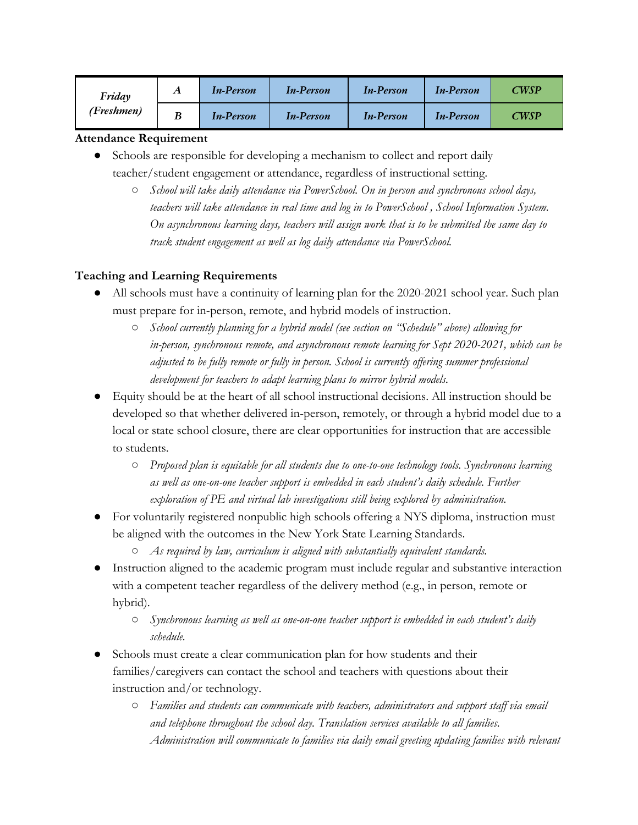| Friday<br>(Freshmen) | A | <b>In-Person</b> | <b>In-Person</b> | <b>In-Person</b> | <b>In-Person</b> | CWSP |
|----------------------|---|------------------|------------------|------------------|------------------|------|
|                      | B | <b>In-Person</b> | <b>In-Person</b> | <b>In-Person</b> | <b>In-Person</b> | CWSP |

### **Attendance Requirement**

- Schools are responsible for developing a mechanism to collect and report daily teacher/student engagement or attendance, regardless of instructional setting.
	- *○ School will take daily attendance via PowerSchool. On in person and synchronous school days, teachers will take attendance in real time and log in to PowerSchool , School Information System. On asynchronous learning days, teachers will assign work that is to be submitted the same day to track student engagement as well as log daily attendance via PowerSchool.*

# **Teaching and Learning Requirements**

- All schools must have a continuity of learning plan for the 2020-2021 school year. Such plan must prepare for in-person, remote, and hybrid models of instruction.
	- *○ School currently planning for a hybrid model (see section on "Schedule" above) allowing for in-person, synchronous remote, and asynchronous remote learning for Sept 2020-2021, which can be adjusted to be fully remote or fully in person. School is currently offering summer professional development for teachers to adapt learning plans to mirror hybrid models.*
- Equity should be at the heart of all school instructional decisions. All instruction should be developed so that whether delivered in-person, remotely, or through a hybrid model due to a local or state school closure, there are clear opportunities for instruction that are accessible to students.
	- *○ Proposed plan is equitable for all students due to one-to-one technology tools. Synchronous learning as well as one-on-one teacher support is embedded in each student's daily schedule. Further exploration of PE and virtual lab investigations still being explored by administration.*
- For voluntarily registered nonpublic high schools offering a NYS diploma, instruction must be aligned with the outcomes in the New York State Learning Standards.
	- *○ As required by law, curriculum is aligned with substantially equivalent standards.*
- Instruction aligned to the academic program must include regular and substantive interaction with a competent teacher regardless of the delivery method (e.g., in person, remote or hybrid).
	- *○ Synchronous learning as well as one-on-one teacher support is embedded in each student's daily schedule.*
- Schools must create a clear communication plan for how students and their families/caregivers can contact the school and teachers with questions about their instruction and/or technology.
	- *Families and students can communicate with teachers, administrators and support staff via email and telephone throughout the school day. Translation services available to all families. Administration will communicate to families via daily email greeting updating families with relevant*